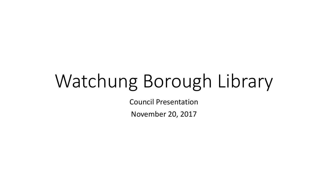# Watchung Borough Library

Council Presentation

November 20, 2017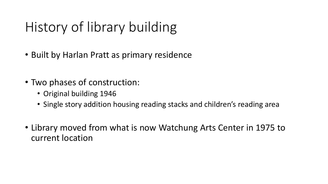# History of library building

- Built by Harlan Pratt as primary residence
- Two phases of construction:
	- Original building 1946
	- Single story addition housing reading stacks and children's reading area
- Library moved from what is now Watchung Arts Center in 1975 to current location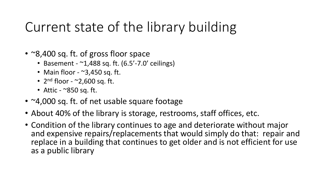### Current state of the library building

- ~8,400 sq. ft. of gross floor space
	- Basement  $^{\sim}1,488$  sq. ft. (6.5'-7.0' ceilings)
	- Main floor  $\sim$ 3,450 sq. ft.
	- $2<sup>nd</sup>$  floor  $\sim$ 2,600 sq. ft.
	- Attic  $\sim$ 850 sq. ft.
- ~4,000 sq. ft. of net usable square footage
- About 40% of the library is storage, restrooms, staff offices, etc.
- Condition of the library continues to age and deteriorate without major and expensive repairs/replacements that would simply do that: repair and replace in a building that continues to get older and is not efficient for use as a public library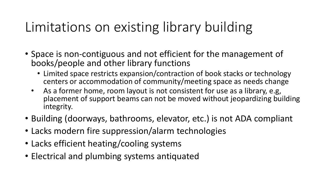## Limitations on existing library building

- Space is non-contiguous and not efficient for the management of books/people and other library functions
	- Limited space restricts expansion/contraction of book stacks or technology centers or accommodation of community/meeting space as needs change
	- As a former home, room layout is not consistent for use as a library, e.g, placement of support beams can not be moved without jeopardizing building integrity.
- Building (doorways, bathrooms, elevator, etc.) is not ADA compliant
- Lacks modern fire suppression/alarm technologies
- Lacks efficient heating/cooling systems
- Electrical and plumbing systems antiquated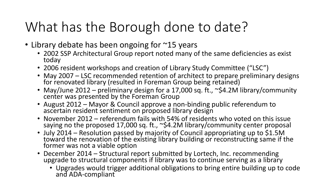# What has the Borough done to date?

- Library debate has been ongoing for ~15 years
	- 2002 SSP Architectural Group report noted many of the same deficiencies as exist today
	- 2006 resident workshops and creation of Library Study Committee ("LSC")
	- May 2007 LSC recommended retention of architect to prepare preliminary designs for renovated library (resulted in Foreman Group being retained)
	- May/June 2012 preliminary design for a 17,000 sq. ft., ~\$4.2M library/community center was presented by the Foreman Group
	- August 2012 Mayor & Council approve a non-binding public referendum to ascertain resident sentiment on proposed library design
	- November 2012 referendum fails with 54% of residents who voted on this issue saying no the proposed 17,000 sq. ft., ~\$4.2M library/community center proposal
	- July 2014 Resolution passed by majority of Council appropriating up to \$1.5M toward the renovation of the existing library building or reconstructing same if the former was not a viable option
	- December 2014 Structural report submitted by Lortech, Inc. recommending upgrade to structural components if library was to continue serving as a library
		- Upgrades would trigger additional obligations to bring entire building up to code and ADA-compliant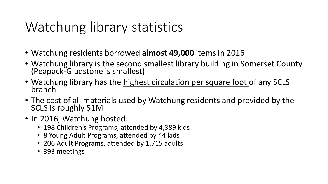# Watchung library statistics

- Watchung residents borrowed **almost 49,000** items in 2016
- Watchung library is the second smallest library building in Somerset County (Peapack-Gladstone is smallest)
- Watchung library has the highest circulation per square foot of any SCLS branch
- The cost of all materials used by Watchung residents and provided by the SCLS is roughly \$1M
- In 2016, Watchung hosted:
	- 198 Children's Programs, attended by 4,389 kids
	- 8 Young Adult Programs, attended by 44 kids
	- 206 Adult Programs, attended by 1,715 adults
	- 393 meetings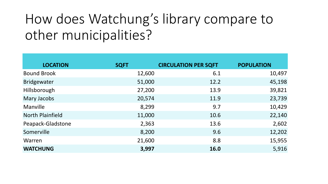# How does Watchung's library compare to other municipalities?

| <b>LOCATION</b>         | <b>SQFT</b> | <b>CIRCULATION PER SQFT</b> | <b>POPULATION</b> |
|-------------------------|-------------|-----------------------------|-------------------|
| <b>Bound Brook</b>      | 12,600      | 6.1                         | 10,497            |
| <b>Bridgewater</b>      | 51,000      | 12.2                        | 45,198            |
| Hillsborough            | 27,200      | 13.9                        | 39,821            |
| Mary Jacobs             | 20,574      | 11.9                        | 23,739            |
| Manville                | 8,299       | 9.7                         | 10,429            |
| <b>North Plainfield</b> | 11,000      | 10.6                        | 22,140            |
| Peapack-Gladstone       | 2,363       | 13.6                        | 2,602             |
| Somerville              | 8,200       | 9.6                         | 12,202            |
| Warren                  | 21,600      | 8.8                         | 15,955            |
| <b>WATCHUNG</b>         | 3,997       | <b>16.0</b>                 | 5,916             |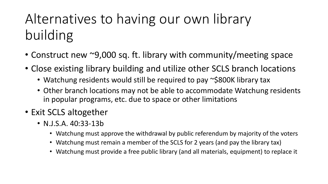# Alternatives to having our own library building

- Construct new ~9,000 sq. ft. library with community/meeting space
- Close existing library building and utilize other SCLS branch locations
	- Watchung residents would still be required to pay ~\$800K library tax
	- Other branch locations may not be able to accommodate Watchung residents in popular programs, etc. due to space or other limitations
- Exit SCLS altogether
	- N.J.S.A. 40:33-13b
		- Watchung must approve the withdrawal by public referendum by majority of the voters
		- Watchung must remain a member of the SCLS for 2 years (and pay the library tax)
		- Watchung must provide a free public library (and all materials, equipment) to replace it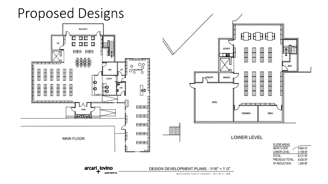**Proposed Designs** 

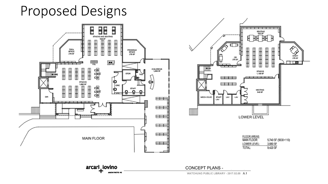#### **Proposed Designs**





| <b>FLOOR AREAS</b> |                     |
|--------------------|---------------------|
| <b>MAIN FLOOR:</b> | 5,740 SF (5630+110) |
| LOWER LEVEL:       | 3,680 SF            |
| TOTAL:             | 9.420 SF            |

WATCHUNG PUBLIC LIBRARY - 2017.02.09 A.1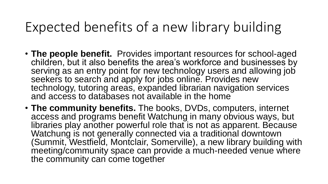#### Expected benefits of a new library building

- **The people benefit.** Provides important resources for school-aged children, but it also benefits the area's workforce and businesses by serving as an entry point for new technology users and allowing job seekers to search and apply for jobs online. Provides new technology, tutoring areas, expanded librarian navigation services and access to databases not available in the home
- **The community benefits.** The books, DVDs, computers, internet access and programs benefit Watchung in many obvious ways, but libraries play another powerful role that is not as apparent. Because Watchung is not generally connected via a traditional downtown (Summit, Westfield, Montclair, Somerville), a new library building with meeting/community space can provide a much-needed venue where the community can come together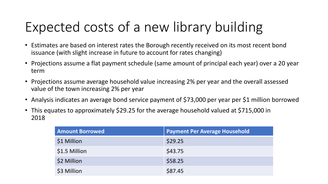# Expected costs of a new library building

- Estimates are based on interest rates the Borough recently received on its most recent bond issuance (with slight increase in future to account for rates changing)
- Projections assume a flat payment schedule (same amount of principal each year) over a 20 year term
- Projections assume average household value increasing 2% per year and the overall assessed value of the town increasing 2% per year
- Analysis indicates an average bond service payment of \$73,000 per year per \$1 million borrowed
- This equates to approximately \$29.25 for the average household valued at \$715,000 in 2018

| <b>Amount Borrowed</b> | <b>Payment Per Average Household</b> |
|------------------------|--------------------------------------|
| \$1 Million            | \$29.25                              |
| \$1.5 Million          | \$43.75                              |
| \$2 Million            | \$58.25                              |
| \$3 Million            | \$87.45                              |